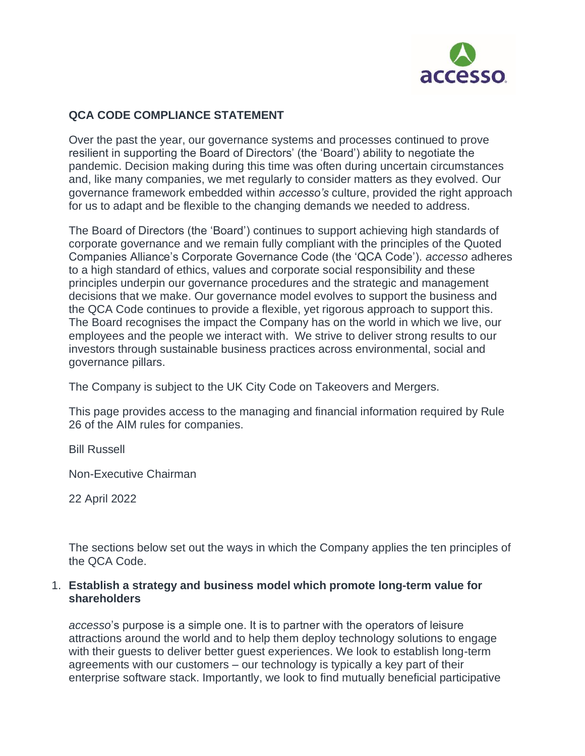

# **QCA CODE COMPLIANCE STATEMENT**

Over the past the year, our governance systems and processes continued to prove resilient in supporting the Board of Directors' (the 'Board') ability to negotiate the pandemic. Decision making during this time was often during uncertain circumstances and, like many companies, we met regularly to consider matters as they evolved. Our governance framework embedded within *accesso's* culture, provided the right approach for us to adapt and be flexible to the changing demands we needed to address.

The Board of Directors (the 'Board') continues to support achieving high standards of corporate governance and we remain fully compliant with the principles of the Quoted Companies Alliance's Corporate Governance Code (the 'QCA Code'). *accesso* adheres to a high standard of ethics, values and corporate social responsibility and these principles underpin our governance procedures and the strategic and management decisions that we make. Our governance model evolves to support the business and the QCA Code continues to provide a flexible, yet rigorous approach to support this. The Board recognises the impact the Company has on the world in which we live, our employees and the people we interact with. We strive to deliver strong results to our investors through sustainable business practices across environmental, social and governance pillars.

The Company is subject to the UK City Code on Takeovers and Mergers.

This page provides access to the managing and financial information required by Rule 26 of the AIM rules for companies.

Bill Russell

Non-Executive Chairman

22 April 2022

The sections below set out the ways in which the Company applies the ten principles of the QCA Code.

### 1. **Establish a strategy and business model which promote long-term value for shareholders**

*accesso*'s purpose is a simple one. It is to partner with the operators of leisure attractions around the world and to help them deploy technology solutions to engage with their guests to deliver better guest experiences. We look to establish long-term agreements with our customers – our technology is typically a key part of their enterprise software stack. Importantly, we look to find mutually beneficial participative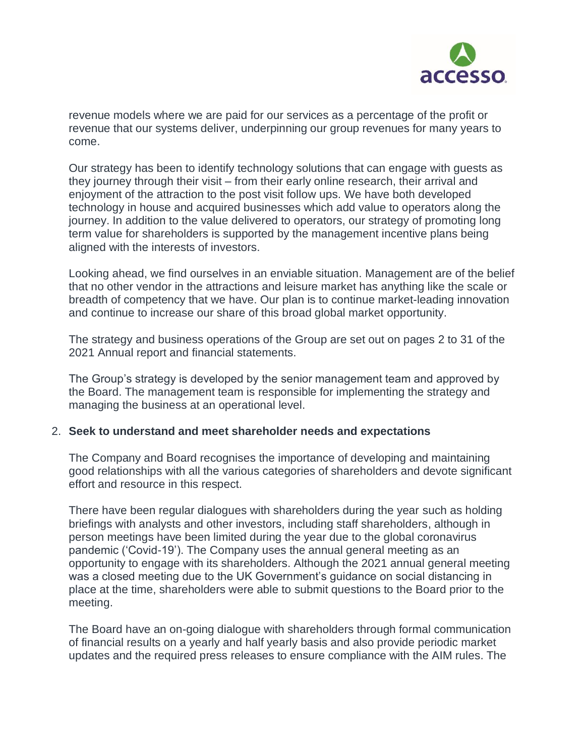

revenue models where we are paid for our services as a percentage of the profit or revenue that our systems deliver, underpinning our group revenues for many years to come.

Our strategy has been to identify technology solutions that can engage with guests as they journey through their visit – from their early online research, their arrival and enjoyment of the attraction to the post visit follow ups. We have both developed technology in house and acquired businesses which add value to operators along the journey. In addition to the value delivered to operators, our strategy of promoting long term value for shareholders is supported by the management incentive plans being aligned with the interests of investors.

Looking ahead, we find ourselves in an enviable situation. Management are of the belief that no other vendor in the attractions and leisure market has anything like the scale or breadth of competency that we have. Our plan is to continue market-leading innovation and continue to increase our share of this broad global market opportunity.

The strategy and business operations of the Group are set out on pages 2 to 31 of the 2021 Annual report and financial statements.

The Group's strategy is developed by the senior management team and approved by the Board. The management team is responsible for implementing the strategy and managing the business at an operational level.

# 2. **Seek to understand and meet shareholder needs and expectations**

The Company and Board recognises the importance of developing and maintaining good relationships with all the various categories of shareholders and devote significant effort and resource in this respect.

There have been regular dialogues with shareholders during the year such as holding briefings with analysts and other investors, including staff shareholders, although in person meetings have been limited during the year due to the global coronavirus pandemic ('Covid-19'). The Company uses the annual general meeting as an opportunity to engage with its shareholders. Although the 2021 annual general meeting was a closed meeting due to the UK Government's guidance on social distancing in place at the time, shareholders were able to submit questions to the Board prior to the meeting.

The Board have an on-going dialogue with shareholders through formal communication of financial results on a yearly and half yearly basis and also provide periodic market updates and the required press releases to ensure compliance with the AIM rules. The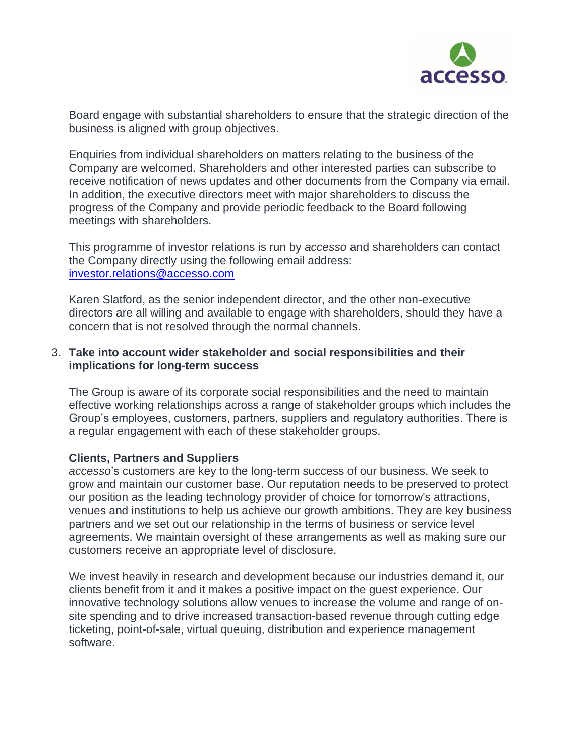

Board engage with substantial shareholders to ensure that the strategic direction of the business is aligned with group objectives.

Enquiries from individual shareholders on matters relating to the business of the Company are welcomed. Shareholders and other interested parties can subscribe to receive notification of news updates and other documents from the Company via email. In addition, the executive directors meet with major shareholders to discuss the progress of the Company and provide periodic feedback to the Board following meetings with shareholders.

This programme of investor relations is run by *accesso* and shareholders can contact the Company directly using the following email address: [investor.relations@accesso.com](mailto:investor.relations@accesso.com)

Karen Slatford, as the senior independent director, and the other non-executive directors are all willing and available to engage with shareholders, should they have a concern that is not resolved through the normal channels.

# 3. **Take into account wider stakeholder and social responsibilities and their implications for long-term success**

The Group is aware of its corporate social responsibilities and the need to maintain effective working relationships across a range of stakeholder groups which includes the Group's employees, customers, partners, suppliers and regulatory authorities. There is a regular engagement with each of these stakeholder groups.

#### **Clients, Partners and Suppliers**

*accesso*'s customers are key to the long-term success of our business. We seek to grow and maintain our customer base. Our reputation needs to be preserved to protect our position as the leading technology provider of choice for tomorrow's attractions, venues and institutions to help us achieve our growth ambitions. They are key business partners and we set out our relationship in the terms of business or service level agreements. We maintain oversight of these arrangements as well as making sure our customers receive an appropriate level of disclosure.

We invest heavily in research and development because our industries demand it, our clients benefit from it and it makes a positive impact on the guest experience. Our innovative technology solutions allow venues to increase the volume and range of onsite spending and to drive increased transaction-based revenue through cutting edge ticketing, point-of-sale, virtual queuing, distribution and experience management software.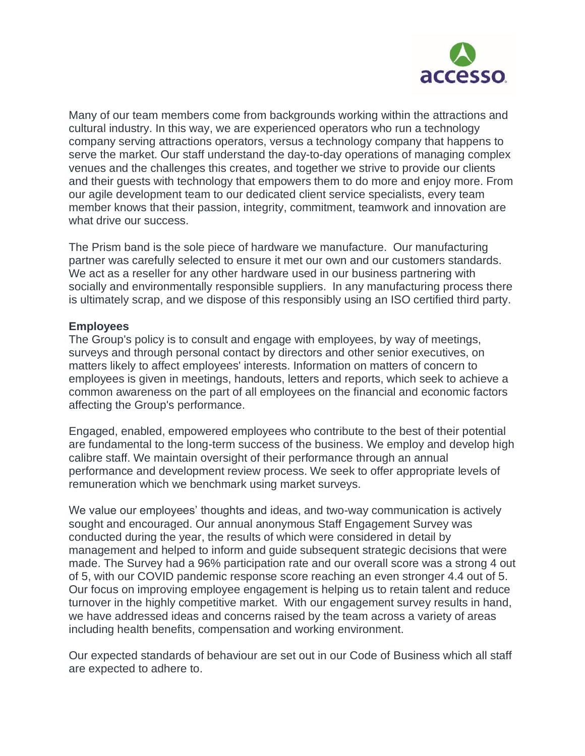

Many of our team members come from backgrounds working within the attractions and cultural industry. In this way, we are experienced operators who run a technology company serving attractions operators, versus a technology company that happens to serve the market. Our staff understand the day-to-day operations of managing complex venues and the challenges this creates, and together we strive to provide our clients and their guests with technology that empowers them to do more and enjoy more. From our agile development team to our dedicated client service specialists, every team member knows that their passion, integrity, commitment, teamwork and innovation are what drive our success.

The Prism band is the sole piece of hardware we manufacture. Our manufacturing partner was carefully selected to ensure it met our own and our customers standards. We act as a reseller for any other hardware used in our business partnering with socially and environmentally responsible suppliers. In any manufacturing process there is ultimately scrap, and we dispose of this responsibly using an ISO certified third party.

### **Employees**

The Group's policy is to consult and engage with employees, by way of meetings, surveys and through personal contact by directors and other senior executives, on matters likely to affect employees' interests. Information on matters of concern to employees is given in meetings, handouts, letters and reports, which seek to achieve a common awareness on the part of all employees on the financial and economic factors affecting the Group's performance.

Engaged, enabled, empowered employees who contribute to the best of their potential are fundamental to the long-term success of the business. We employ and develop high calibre staff. We maintain oversight of their performance through an annual performance and development review process. We seek to offer appropriate levels of remuneration which we benchmark using market surveys.

We value our employees' thoughts and ideas, and two-way communication is actively sought and encouraged. Our annual anonymous Staff Engagement Survey was conducted during the year, the results of which were considered in detail by management and helped to inform and guide subsequent strategic decisions that were made. The Survey had a 96% participation rate and our overall score was a strong 4 out of 5, with our COVID pandemic response score reaching an even stronger 4.4 out of 5. Our focus on improving employee engagement is helping us to retain talent and reduce turnover in the highly competitive market. With our engagement survey results in hand, we have addressed ideas and concerns raised by the team across a variety of areas including health benefits, compensation and working environment.

Our expected standards of behaviour are set out in our Code of Business which all staff are expected to adhere to.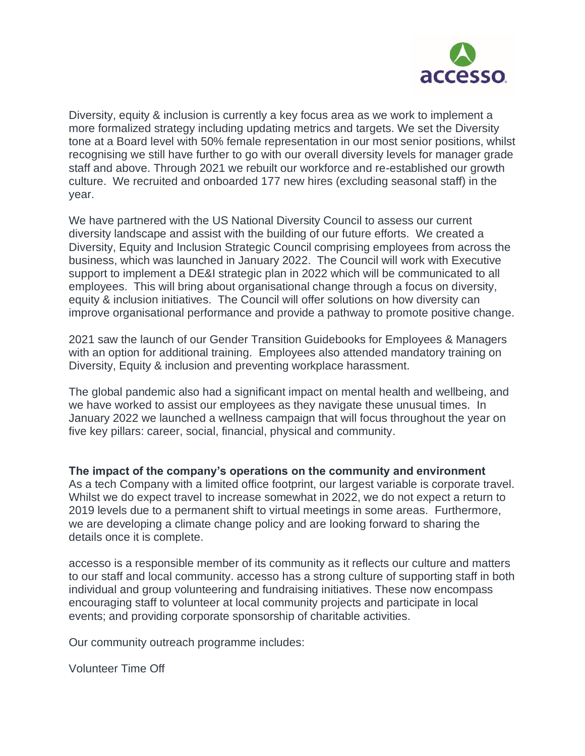

Diversity, equity & inclusion is currently a key focus area as we work to implement a more formalized strategy including updating metrics and targets. We set the Diversity tone at a Board level with 50% female representation in our most senior positions, whilst recognising we still have further to go with our overall diversity levels for manager grade staff and above. Through 2021 we rebuilt our workforce and re-established our growth culture. We recruited and onboarded 177 new hires (excluding seasonal staff) in the year.

We have partnered with the US National Diversity Council to assess our current diversity landscape and assist with the building of our future efforts. We created a Diversity, Equity and Inclusion Strategic Council comprising employees from across the business, which was launched in January 2022. The Council will work with Executive support to implement a DE&I strategic plan in 2022 which will be communicated to all employees. This will bring about organisational change through a focus on diversity, equity & inclusion initiatives. The Council will offer solutions on how diversity can improve organisational performance and provide a pathway to promote positive change.

2021 saw the launch of our Gender Transition Guidebooks for Employees & Managers with an option for additional training. Employees also attended mandatory training on Diversity, Equity & inclusion and preventing workplace harassment.

The global pandemic also had a significant impact on mental health and wellbeing, and we have worked to assist our employees as they navigate these unusual times. In January 2022 we launched a wellness campaign that will focus throughout the year on five key pillars: career, social, financial, physical and community.

**The impact of the company's operations on the community and environment** As a tech Company with a limited office footprint, our largest variable is corporate travel. Whilst we do expect travel to increase somewhat in 2022, we do not expect a return to 2019 levels due to a permanent shift to virtual meetings in some areas. Furthermore, we are developing a climate change policy and are looking forward to sharing the details once it is complete.

accesso is a responsible member of its community as it reflects our culture and matters to our staff and local community. accesso has a strong culture of supporting staff in both individual and group volunteering and fundraising initiatives. These now encompass encouraging staff to volunteer at local community projects and participate in local events; and providing corporate sponsorship of charitable activities.

Our community outreach programme includes:

Volunteer Time Off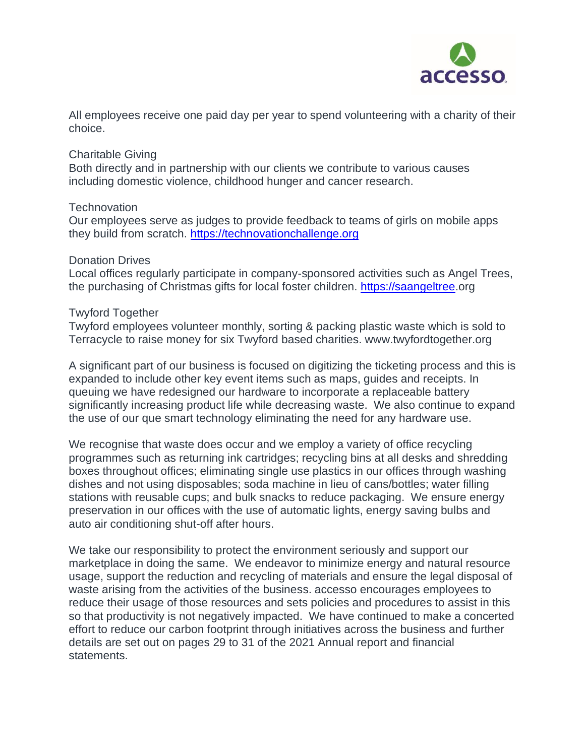

All employees receive one paid day per year to spend volunteering with a charity of their choice.

### Charitable Giving

Both directly and in partnership with our clients we contribute to various causes including domestic violence, childhood hunger and cancer research.

### **Technovation**

Our employees serve as judges to provide feedback to teams of girls on mobile apps they build from scratch. [https://technovationchallenge.org](https://technovationchallenge.org/)

#### Donation Drives

Local offices regularly participate in company-sponsored activities such as Angel Trees, the purchasing of Christmas gifts for local foster children. [https://saangeltree.](https://saangeltree/)org

#### Twyford Together

Twyford employees volunteer monthly, sorting & packing plastic waste which is sold to Terracycle to raise money for six Twyford based charities. www.twyfordtogether.org

A significant part of our business is focused on digitizing the ticketing process and this is expanded to include other key event items such as maps, guides and receipts. In queuing we have redesigned our hardware to incorporate a replaceable battery significantly increasing product life while decreasing waste. We also continue to expand the use of our que smart technology eliminating the need for any hardware use.

We recognise that waste does occur and we employ a variety of office recycling programmes such as returning ink cartridges; recycling bins at all desks and shredding boxes throughout offices; eliminating single use plastics in our offices through washing dishes and not using disposables; soda machine in lieu of cans/bottles; water filling stations with reusable cups; and bulk snacks to reduce packaging. We ensure energy preservation in our offices with the use of automatic lights, energy saving bulbs and auto air conditioning shut-off after hours.

We take our responsibility to protect the environment seriously and support our marketplace in doing the same. We endeavor to minimize energy and natural resource usage, support the reduction and recycling of materials and ensure the legal disposal of waste arising from the activities of the business. accesso encourages employees to reduce their usage of those resources and sets policies and procedures to assist in this so that productivity is not negatively impacted. We have continued to make a concerted effort to reduce our carbon footprint through initiatives across the business and further details are set out on pages 29 to 31 of the 2021 Annual report and financial statements.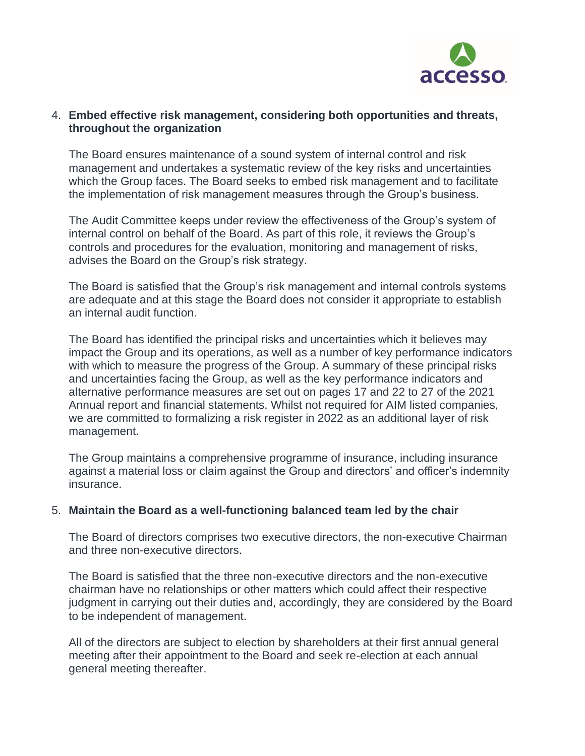

# 4. **Embed effective risk management, considering both opportunities and threats, throughout the organization**

The Board ensures maintenance of a sound system of internal control and risk management and undertakes a systematic review of the key risks and uncertainties which the Group faces. The Board seeks to embed risk management and to facilitate the implementation of risk management measures through the Group's business.

The Audit Committee keeps under review the effectiveness of the Group's system of internal control on behalf of the Board. As part of this role, it reviews the Group's controls and procedures for the evaluation, monitoring and management of risks, advises the Board on the Group's risk strategy.

The Board is satisfied that the Group's risk management and internal controls systems are adequate and at this stage the Board does not consider it appropriate to establish an internal audit function.

The Board has identified the principal risks and uncertainties which it believes may impact the Group and its operations, as well as a number of key performance indicators with which to measure the progress of the Group. A summary of these principal risks and uncertainties facing the Group, as well as the key performance indicators and alternative performance measures are set out on pages 17 and 22 to 27 of the 2021 Annual report and financial statements. Whilst not required for AIM listed companies, we are committed to formalizing a risk register in 2022 as an additional layer of risk management.

The Group maintains a comprehensive programme of insurance, including insurance against a material loss or claim against the Group and directors' and officer's indemnity insurance.

#### 5. **Maintain the Board as a well-functioning balanced team led by the chair**

The Board of directors comprises two executive directors, the non-executive Chairman and three non-executive directors.

The Board is satisfied that the three non-executive directors and the non-executive chairman have no relationships or other matters which could affect their respective judgment in carrying out their duties and, accordingly, they are considered by the Board to be independent of management.

All of the directors are subject to election by shareholders at their first annual general meeting after their appointment to the Board and seek re-election at each annual general meeting thereafter.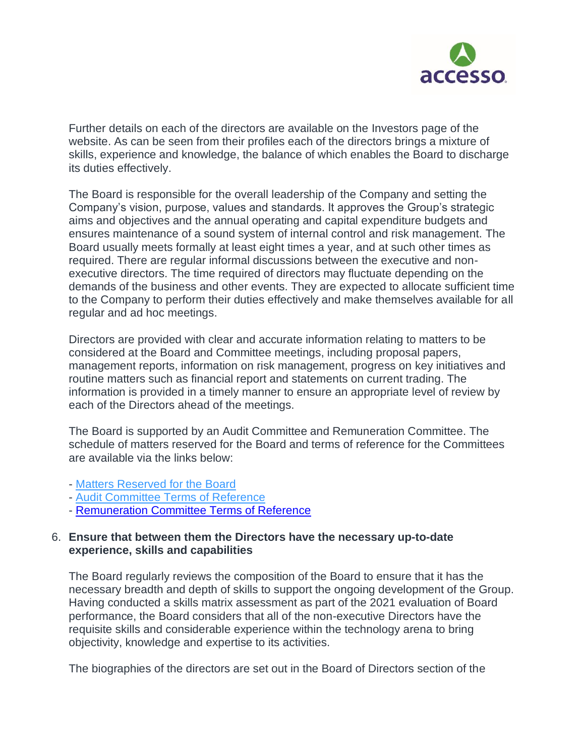

Further details on each of the directors are available on the Investors page of the website. As can be seen from their profiles each of the directors brings a mixture of skills, experience and knowledge, the balance of which enables the Board to discharge its duties effectively.

The Board is responsible for the overall leadership of the Company and setting the Company's vision, purpose, values and standards. It approves the Group's strategic aims and objectives and the annual operating and capital expenditure budgets and ensures maintenance of a sound system of internal control and risk management. The Board usually meets formally at least eight times a year, and at such other times as required. There are regular informal discussions between the executive and nonexecutive directors. The time required of directors may fluctuate depending on the demands of the business and other events. They are expected to allocate sufficient time to the Company to perform their duties effectively and make themselves available for all regular and ad hoc meetings.

Directors are provided with clear and accurate information relating to matters to be considered at the Board and Committee meetings, including proposal papers, management reports, information on risk management, progress on key initiatives and routine matters such as financial report and statements on current trading. The information is provided in a timely manner to ensure an appropriate level of review by each of the Directors ahead of the meetings.

The Board is supported by an Audit Committee and Remuneration Committee. The schedule of matters reserved for the Board and terms of reference for the Committees are available via the links below:

- Matters [Reserved](https://accesso.com/assets/documents/Matters-Reserved-for-the-Board-Approved-January-2019.pdf) for the Board
- Audit [Committee](https://accesso.com/assets/documents/Audit-Committee-Terms-of-Reference-Approved-January-2019.pdf) Terms of Reference
- [Remuneration Committee Terms of Reference](https://www.accesso.com/assets/documents/Remuneration-Committee-Terms-of-Reference-Approved-17-May-2022.pdf)

### 6. **Ensure that between them the Directors have the necessary up-to-date experience, skills and capabilities**

The Board regularly reviews the composition of the Board to ensure that it has the necessary breadth and depth of skills to support the ongoing development of the Group. Having conducted a skills matrix assessment as part of the 2021 evaluation of Board performance, the Board considers that all of the non-executive Directors have the requisite skills and considerable experience within the technology arena to bring objectivity, knowledge and expertise to its activities.

The biographies of the directors are set out in the Board of Directors section of the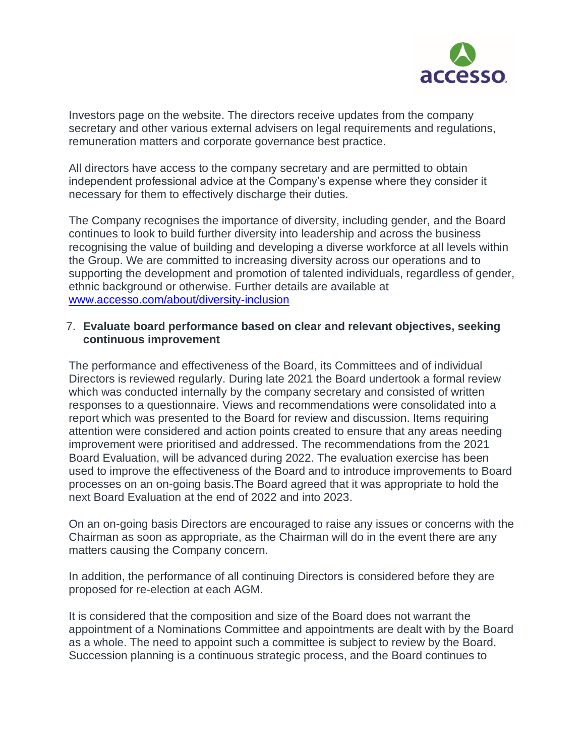

Investors page on the website. The directors receive updates from the company secretary and other various external advisers on legal requirements and regulations, remuneration matters and corporate governance best practice.

All directors have access to the company secretary and are permitted to obtain independent professional advice at the Company's expense where they consider it necessary for them to effectively discharge their duties.

The Company recognises the importance of diversity, including gender, and the Board continues to look to build further diversity into leadership and across the business recognising the value of building and developing a diverse workforce at all levels within the Group. We are committed to increasing diversity across our operations and to supporting the development and promotion of talented individuals, regardless of gender, ethnic background or otherwise. Further details are available at [www.accesso.com/about/diversity-inclusion](http://www.accesso.com/about/diversity-inclusion)

# 7. **Evaluate board performance based on clear and relevant objectives, seeking continuous improvement**

The performance and effectiveness of the Board, its Committees and of individual Directors is reviewed regularly. During late 2021 the Board undertook a formal review which was conducted internally by the company secretary and consisted of written responses to a questionnaire. Views and recommendations were consolidated into a report which was presented to the Board for review and discussion. Items requiring attention were considered and action points created to ensure that any areas needing improvement were prioritised and addressed. The recommendations from the 2021 Board Evaluation, will be advanced during 2022. The evaluation exercise has been used to improve the effectiveness of the Board and to introduce improvements to Board processes on an on-going basis.The Board agreed that it was appropriate to hold the next Board Evaluation at the end of 2022 and into 2023.

On an on-going basis Directors are encouraged to raise any issues or concerns with the Chairman as soon as appropriate, as the Chairman will do in the event there are any matters causing the Company concern.

In addition, the performance of all continuing Directors is considered before they are proposed for re-election at each AGM.

It is considered that the composition and size of the Board does not warrant the appointment of a Nominations Committee and appointments are dealt with by the Board as a whole. The need to appoint such a committee is subject to review by the Board. Succession planning is a continuous strategic process, and the Board continues to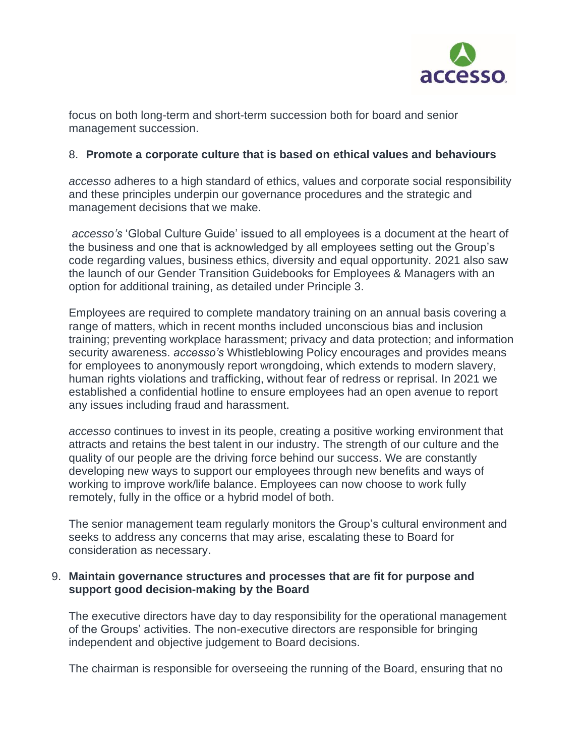

focus on both long-term and short-term succession both for board and senior management succession.

# 8. **Promote a corporate culture that is based on ethical values and behaviours**

*accesso* adheres to a high standard of ethics, values and corporate social responsibility and these principles underpin our governance procedures and the strategic and management decisions that we make.

*accesso's* 'Global Culture Guide' issued to all employees is a document at the heart of the business and one that is acknowledged by all employees setting out the Group's code regarding values, business ethics, diversity and equal opportunity. 2021 also saw the launch of our Gender Transition Guidebooks for Employees & Managers with an option for additional training, as detailed under Principle 3.

Employees are required to complete mandatory training on an annual basis covering a range of matters, which in recent months included unconscious bias and inclusion training; preventing workplace harassment; privacy and data protection; and information security awareness. *accesso's* Whistleblowing Policy encourages and provides means for employees to anonymously report wrongdoing, which extends to modern slavery, human rights violations and trafficking, without fear of redress or reprisal. In 2021 we established a confidential hotline to ensure employees had an open avenue to report any issues including fraud and harassment.

*accesso* continues to invest in its people, creating a positive working environment that attracts and retains the best talent in our industry. The strength of our culture and the quality of our people are the driving force behind our success. We are constantly developing new ways to support our employees through new benefits and ways of working to improve work/life balance. Employees can now choose to work fully remotely, fully in the office or a hybrid model of both.

The senior management team regularly monitors the Group's cultural environment and seeks to address any concerns that may arise, escalating these to Board for consideration as necessary.

### 9. **Maintain governance structures and processes that are fit for purpose and support good decision-making by the Board**

The executive directors have day to day responsibility for the operational management of the Groups' activities. The non-executive directors are responsible for bringing independent and objective judgement to Board decisions.

The chairman is responsible for overseeing the running of the Board, ensuring that no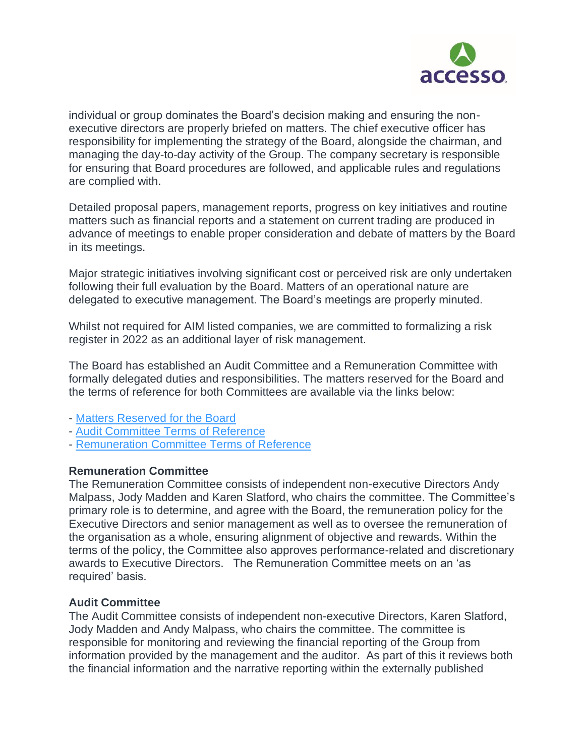

individual or group dominates the Board's decision making and ensuring the nonexecutive directors are properly briefed on matters. The chief executive officer has responsibility for implementing the strategy of the Board, alongside the chairman, and managing the day-to-day activity of the Group. The company secretary is responsible for ensuring that Board procedures are followed, and applicable rules and regulations are complied with.

Detailed proposal papers, management reports, progress on key initiatives and routine matters such as financial reports and a statement on current trading are produced in advance of meetings to enable proper consideration and debate of matters by the Board in its meetings.

Major strategic initiatives involving significant cost or perceived risk are only undertaken following their full evaluation by the Board. Matters of an operational nature are delegated to executive management. The Board's meetings are properly minuted.

Whilst not required for AIM listed companies, we are committed to formalizing a risk register in 2022 as an additional layer of risk management.

The Board has established an Audit Committee and a Remuneration Committee with formally delegated duties and responsibilities. The matters reserved for the Board and the terms of reference for both Committees are available via the links below:

- Matters [Reserved](https://accesso.com/assets/documents/Matters-Reserved-for-the-Board-Approved-January-2019.pdf) for the Board
- Audit [Committee](https://accesso.com/assets/documents/Audit-Committee-Terms-of-Reference-Approved-January-2019.pdf) Terms of Reference
- [Remuneration](https://www.accesso.com/assets/documents/Remuneration-Committee-Terms-of-Reference-Approved-17-May-2022.pdf) Committee Terms of Reference

#### **Remuneration Committee**

The Remuneration Committee consists of independent non-executive Directors Andy Malpass, Jody Madden and Karen Slatford, who chairs the committee. The Committee's primary role is to determine, and agree with the Board, the remuneration policy for the Executive Directors and senior management as well as to oversee the remuneration of the organisation as a whole, ensuring alignment of objective and rewards. Within the terms of the policy, the Committee also approves performance-related and discretionary awards to Executive Directors. The Remuneration Committee meets on an 'as required' basis.

#### **Audit Committee**

The Audit Committee consists of independent non-executive Directors, Karen Slatford, Jody Madden and Andy Malpass, who chairs the committee. The committee is responsible for monitoring and reviewing the financial reporting of the Group from information provided by the management and the auditor. As part of this it reviews both the financial information and the narrative reporting within the externally published